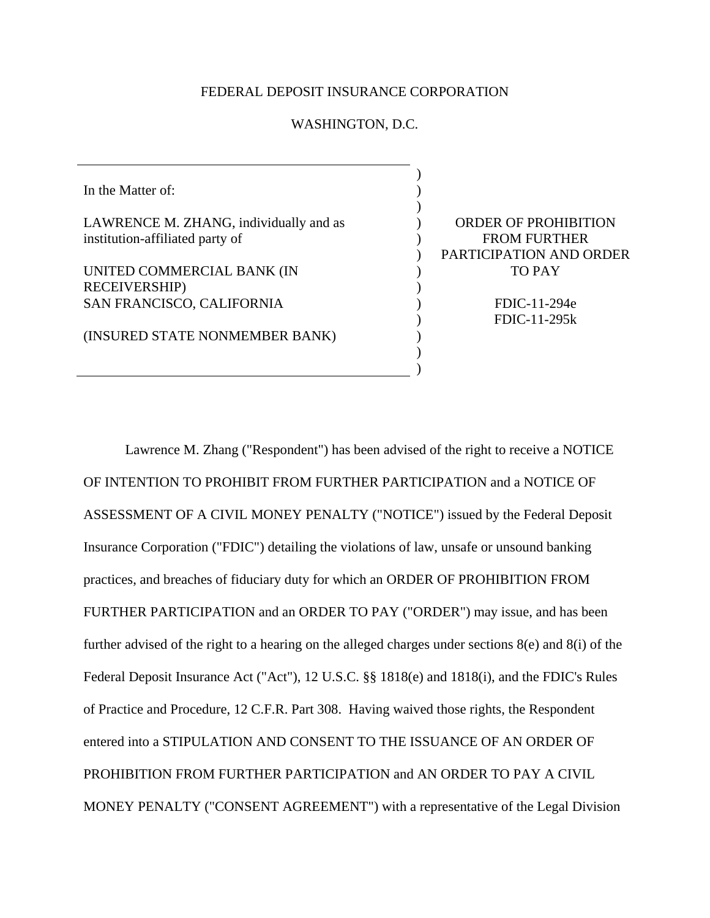## FEDERAL DEPOSIT INSURANCE CORPORATION

## WASHINGTON, D.C.

) ) )  $\lambda$  $\lambda$  $\lambda$ )  $\lambda$ ) ) )  $\mathcal{L}$ )

In the Matter of: LAWRENCE M. ZHANG, individually and as institution-affiliated party of UNITED COMMERCIAL BANK (IN RECEIVERSHIP) SAN FRANCISCO, CALIFORNIA (INSURED STATE NONMEMBER BANK)

ORDER OF PROHIBITION FROM FURTHER PARTICIPATION AND ORDER TO PAY FDIC-11-294e

FDIC-11-295k

Lawrence M. Zhang ("Respondent") has been advised of the right to receive a NOTICE OF INTENTION TO PROHIBIT FROM FURTHER PARTICIPATION and a NOTICE OF ASSESSMENT OF A CIVIL MONEY PENALTY ("NOTICE") issued by the Federal Deposit Insurance Corporation ("FDIC") detailing the violations of law, unsafe or unsound banking practices, and breaches of fiduciary duty for which an ORDER OF PROHIBITION FROM FURTHER PARTICIPATION and an ORDER TO PAY ("ORDER") may issue, and has been further advised of the right to a hearing on the alleged charges under sections 8(e) and 8(i) of the Federal Deposit Insurance Act ("Act"), 12 U.S.C. §§ 1818(e) and 1818(i), and the FDIC's Rules of Practice and Procedure, 12 C.F.R. Part 308. Having waived those rights, the Respondent entered into a STIPULATION AND CONSENT TO THE ISSUANCE OF AN ORDER OF PROHIBITION FROM FURTHER PARTICIPATION and AN ORDER TO PAY A CIVIL MONEY PENALTY ("CONSENT AGREEMENT") with a representative of the Legal Division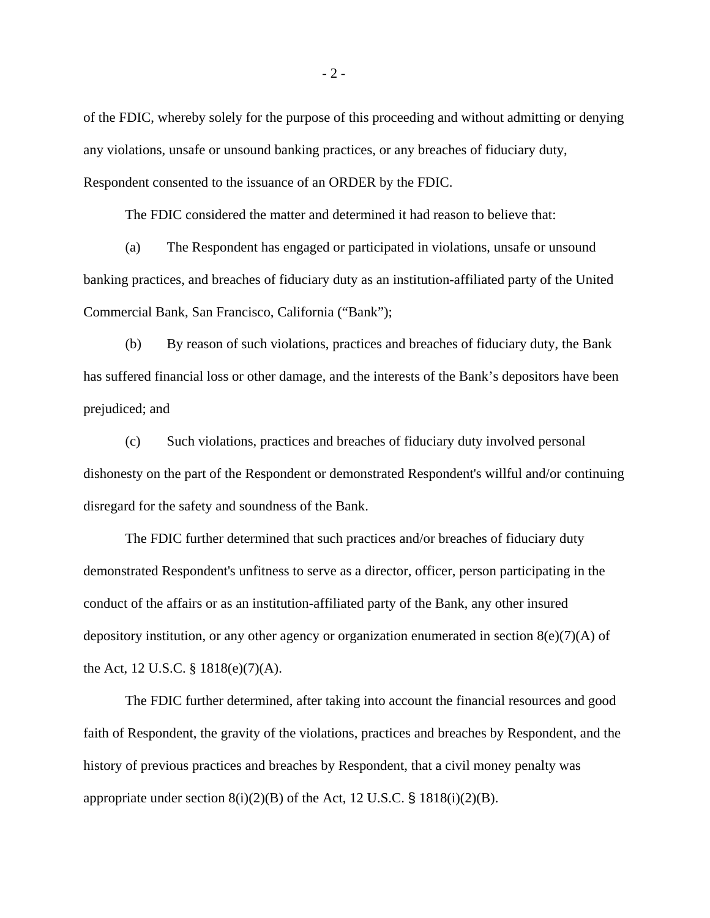of the FDIC, whereby solely for the purpose of this proceeding and without admitting or denying any violations, unsafe or unsound banking practices, or any breaches of fiduciary duty, Respondent consented to the issuance of an ORDER by the FDIC.

The FDIC considered the matter and determined it had reason to believe that:

 (a) The Respondent has engaged or participated in violations, unsafe or unsound banking practices, and breaches of fiduciary duty as an institution-affiliated party of the United Commercial Bank, San Francisco, California ("Bank");

(b) By reason of such violations, practices and breaches of fiduciary duty, the Bank has suffered financial loss or other damage, and the interests of the Bank's depositors have been prejudiced; and

(c) Such violations, practices and breaches of fiduciary duty involved personal dishonesty on the part of the Respondent or demonstrated Respondent's willful and/or continuing disregard for the safety and soundness of the Bank.

The FDIC further determined that such practices and/or breaches of fiduciary duty demonstrated Respondent's unfitness to serve as a director, officer, person participating in the conduct of the affairs or as an institution-affiliated party of the Bank, any other insured depository institution, or any other agency or organization enumerated in section 8(e)(7)(A) of the Act, 12 U.S.C. § 1818(e)(7)(A).

The FDIC further determined, after taking into account the financial resources and good faith of Respondent, the gravity of the violations, practices and breaches by Respondent, and the history of previous practices and breaches by Respondent, that a civil money penalty was appropriate under section  $8(i)(2)(B)$  of the Act, 12 U.S.C. § 1818(i)(2)(B).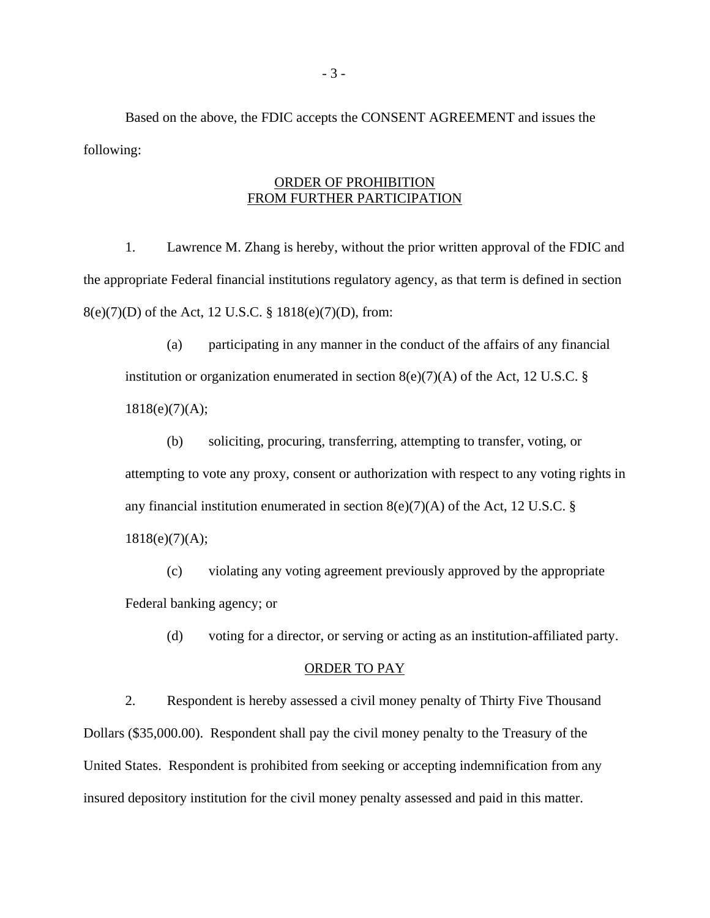Based on the above, the FDIC accepts the CONSENT AGREEMENT and issues the following:

## ORDER OF PROHIBITION FROM FURTHER PARTICIPATION

1. Lawrence M. Zhang is hereby, without the prior written approval of the FDIC and the appropriate Federal financial institutions regulatory agency, as that term is defined in section 8(e)(7)(D) of the Act, 12 U.S.C. § 1818(e)(7)(D), from:

(a) participating in any manner in the conduct of the affairs of any financial institution or organization enumerated in section  $8(e)(7)(A)$  of the Act, 12 U.S.C. §  $1818(e)(7)(A);$ 

(b) soliciting, procuring, transferring, attempting to transfer, voting, or attempting to vote any proxy, consent or authorization with respect to any voting rights in any financial institution enumerated in section  $8(e)(7)(A)$  of the Act, 12 U.S.C. § 1818(e)(7)(A);

(c) violating any voting agreement previously approved by the appropriate Federal banking agency; or

(d) voting for a director, or serving or acting as an institution-affiliated party.

## ORDER TO PAY

2. Respondent is hereby assessed a civil money penalty of Thirty Five Thousand Dollars (\$35,000.00). Respondent shall pay the civil money penalty to the Treasury of the United States. Respondent is prohibited from seeking or accepting indemnification from any insured depository institution for the civil money penalty assessed and paid in this matter.